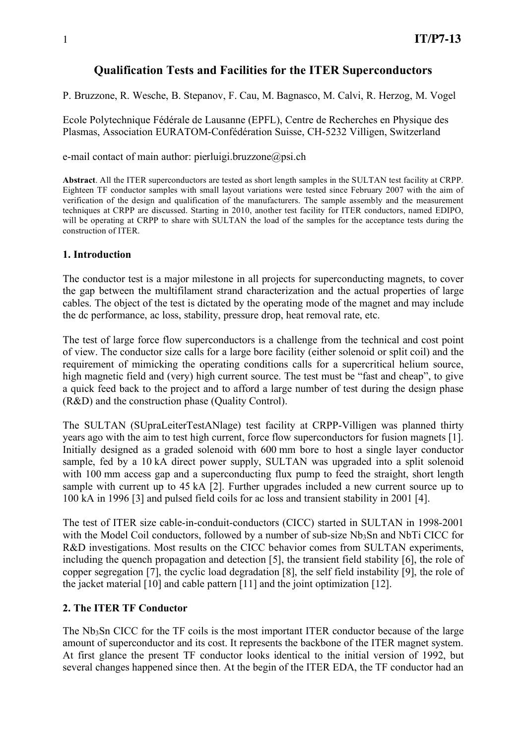# **Qualification Tests and Facilities for the ITER Superconductors**

P. Bruzzone, R. Wesche, B. Stepanov, F. Cau, M. Bagnasco, M. Calvi, R. Herzog, M. Vogel

Ecole Polytechnique Fédérale de Lausanne (EPFL), Centre de Recherches en Physique des Plasmas, Association EURATOM-Confédération Suisse, CH-5232 Villigen, Switzerland

e-mail contact of main author: pierluigi.bruzzone@psi.ch

**Abstract**. All the ITER superconductors are tested as short length samples in the SULTAN test facility at CRPP. Eighteen TF conductor samples with small layout variations were tested since February 2007 with the aim of verification of the design and qualification of the manufacturers. The sample assembly and the measurement techniques at CRPP are discussed. Starting in 2010, another test facility for ITER conductors, named EDIPO, will be operating at CRPP to share with SULTAN the load of the samples for the acceptance tests during the construction of ITER.

# **1. Introduction**

The conductor test is a major milestone in all projects for superconducting magnets, to cover the gap between the multifilament strand characterization and the actual properties of large cables. The object of the test is dictated by the operating mode of the magnet and may include the dc performance, ac loss, stability, pressure drop, heat removal rate, etc.

The test of large force flow superconductors is a challenge from the technical and cost point of view. The conductor size calls for a large bore facility (either solenoid or split coil) and the requirement of mimicking the operating conditions calls for a supercritical helium source, high magnetic field and (very) high current source. The test must be "fast and cheap", to give a quick feed back to the project and to afford a large number of test during the design phase (R&D) and the construction phase (Quality Control).

The SULTAN (SUpraLeiterTestANlage) test facility at CRPP-Villigen was planned thirty years ago with the aim to test high current, force flow superconductors for fusion magnets [1]. Initially designed as a graded solenoid with 600 mm bore to host a single layer conductor sample, fed by a 10 kA direct power supply, SULTAN was upgraded into a split solenoid with 100 mm access gap and a superconducting flux pump to feed the straight, short length sample with current up to 45 kA [2]. Further upgrades included a new current source up to 100 kA in 1996 [3] and pulsed field coils for ac loss and transient stability in 2001 [4].

The test of ITER size cable-in-conduit-conductors (CICC) started in SULTAN in 1998-2001 with the Model Coil conductors, followed by a number of sub-size  $Nb<sub>3</sub>Sn$  and NbTi CICC for R&D investigations. Most results on the CICC behavior comes from SULTAN experiments, including the quench propagation and detection [5], the transient field stability [6], the role of copper segregation [7], the cyclic load degradation [8], the self field instability [9], the role of the jacket material [10] and cable pattern [11] and the joint optimization [12].

# **2. The ITER TF Conductor**

The  $Nb<sub>3</sub>Sn$  CICC for the TF coils is the most important ITER conductor because of the large amount of superconductor and its cost. It represents the backbone of the ITER magnet system. At first glance the present TF conductor looks identical to the initial version of 1992, but several changes happened since then. At the begin of the ITER EDA, the TF conductor had an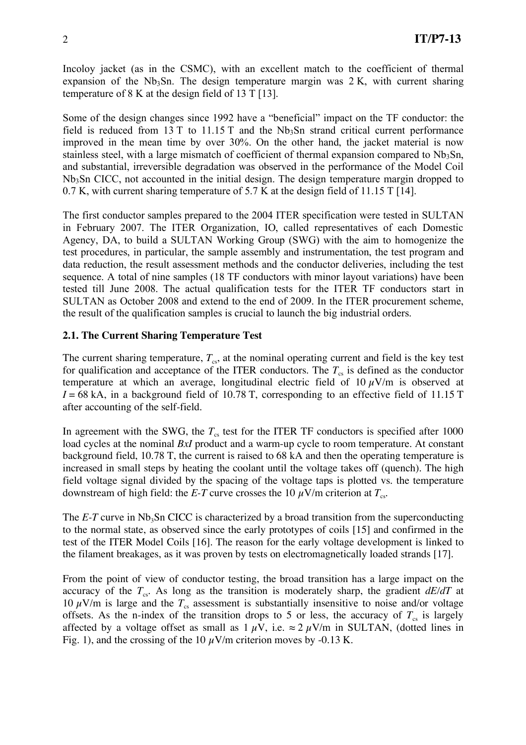Incoloy jacket (as in the CSMC), with an excellent match to the coefficient of thermal expansion of the  $Nb<sub>3</sub>Sn$ . The design temperature margin was  $2 K$ , with current sharing temperature of 8 K at the design field of 13 T [13].

Some of the design changes since 1992 have a "beneficial" impact on the TF conductor: the field is reduced from  $13 T$  to  $11.15 T$  and the Nb<sub>3</sub>Sn strand critical current performance improved in the mean time by over 30%. On the other hand, the jacket material is now stainless steel, with a large mismatch of coefficient of thermal expansion compared to  $Nb<sub>3</sub>Sn$ , and substantial, irreversible degradation was observed in the performance of the Model Coil Nb3Sn CICC, not accounted in the initial design. The design temperature margin dropped to 0.7 K, with current sharing temperature of 5.7 K at the design field of 11.15 T [14].

The first conductor samples prepared to the 2004 ITER specification were tested in SULTAN in February 2007. The ITER Organization, IO, called representatives of each Domestic Agency, DA, to build a SULTAN Working Group (SWG) with the aim to homogenize the test procedures, in particular, the sample assembly and instrumentation, the test program and data reduction, the result assessment methods and the conductor deliveries, including the test sequence. A total of nine samples (18 TF conductors with minor layout variations) have been tested till June 2008. The actual qualification tests for the ITER TF conductors start in SULTAN as October 2008 and extend to the end of 2009. In the ITER procurement scheme, the result of the qualification samples is crucial to launch the big industrial orders.

# **2.1. The Current Sharing Temperature Test**

The current sharing temperature,  $T_{cs}$ , at the nominal operating current and field is the key test for qualification and acceptance of the ITER conductors. The  $T<sub>cs</sub>$  is defined as the conductor temperature at which an average, longitudinal electric field of  $10 \mu$ V/m is observed at  $I = 68$  kA, in a background field of 10.78 T, corresponding to an effective field of 11.15 T after accounting of the self-field.

In agreement with the SWG, the  $T_{cs}$  test for the ITER TF conductors is specified after 1000 load cycles at the nominal *BxI* product and a warm-up cycle to room temperature. At constant background field, 10.78 T, the current is raised to 68 kA and then the operating temperature is increased in small steps by heating the coolant until the voltage takes off (quench). The high field voltage signal divided by the spacing of the voltage taps is plotted vs. the temperature downstream of high field: the *E-T* curve crosses the 10  $\mu$ V/m criterion at  $T_{cs}$ .

The  $E-T$  curve in Nb<sub>3</sub>Sn CICC is characterized by a broad transition from the superconducting to the normal state, as observed since the early prototypes of coils [15] and confirmed in the test of the ITER Model Coils [16]. The reason for the early voltage development is linked to the filament breakages, as it was proven by tests on electromagnetically loaded strands [17].

From the point of view of conductor testing, the broad transition has a large impact on the accuracy of the  $T_{cs}$ . As long as the transition is moderately sharp, the gradient  $dE/dT$  at 10  $\mu$ V/m is large and the  $T_{cs}$  assessment is substantially insensitive to noise and/or voltage offsets. As the n-index of the transition drops to 5 or less, the accuracy of  $T_{cs}$  is largely affected by a voltage offset as small as  $1 \mu V$ , i.e.  $\approx 2 \mu V/m$  in SULTAN, (dotted lines in Fig. 1), and the crossing of the 10  $\mu$ V/m criterion moves by -0.13 K.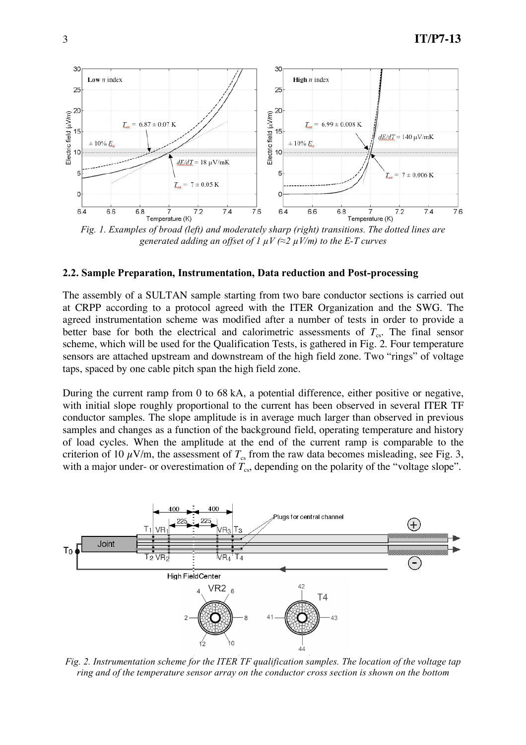

*Fig. 1. Examples of broad (left) and moderately sharp (right) transitions. The dotted lines are generated adding an offset of 1*  $\mu$ *V* ( $\approx$ 2  $\mu$ *V*/*m*) *to the E-T curves* 

#### **2.2. Sample Preparation, Instrumentation, Data reduction and Post-processing**

The assembly of a SULTAN sample starting from two bare conductor sections is carried out at CRPP according to a protocol agreed with the ITER Organization and the SWG. The agreed instrumentation scheme was modified after a number of tests in order to provide a better base for both the electrical and calorimetric assessments of  $T_{cs}$ . The final sensor scheme, which will be used for the Qualification Tests, is gathered in Fig. 2. Four temperature sensors are attached upstream and downstream of the high field zone. Two "rings" of voltage taps, spaced by one cable pitch span the high field zone.

During the current ramp from 0 to 68 kA, a potential difference, either positive or negative, with initial slope roughly proportional to the current has been observed in several ITER TF conductor samples. The slope amplitude is in average much larger than observed in previous samples and changes as a function of the background field, operating temperature and history of load cycles. When the amplitude at the end of the current ramp is comparable to the criterion of 10  $\mu$ V/m, the assessment of  $T_{\rm cs}$  from the raw data becomes misleading, see Fig. 3, with a major under- or overestimation of  $T_{cs}$ , depending on the polarity of the "voltage slope".



*Fig. 2. Instrumentation scheme for the ITER TF qualification samples. The location of the voltage tap ring and of the temperature sensor array on the conductor cross section is shown on the bottom*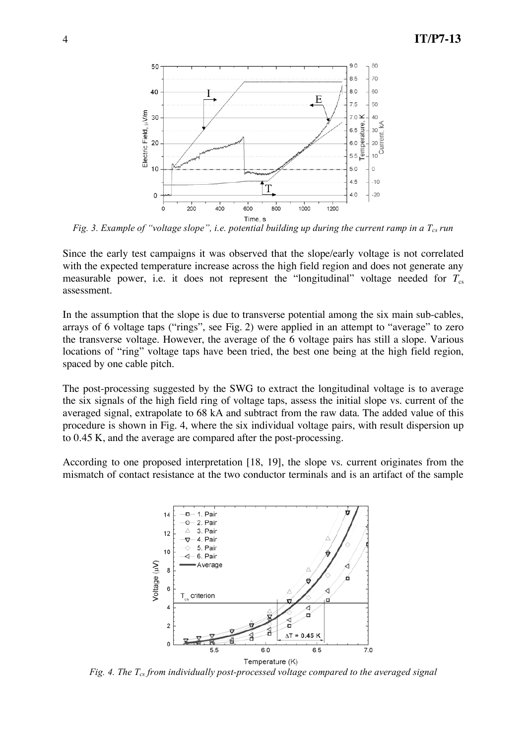

*Fig.* 3. *Example of "voltage slope", i.e. potential building up during the current ramp in a*  $T_{cs}$  *run* 

Since the early test campaigns it was observed that the slope/early voltage is not correlated with the expected temperature increase across the high field region and does not generate any measurable power, i.e. it does not represent the "longitudinal" voltage needed for  $T_{cs}$ assessment.

In the assumption that the slope is due to transverse potential among the six main sub-cables, arrays of 6 voltage taps ("rings", see Fig. 2) were applied in an attempt to "average" to zero the transverse voltage. However, the average of the 6 voltage pairs has still a slope. Various locations of "ring" voltage taps have been tried, the best one being at the high field region, spaced by one cable pitch.

The post-processing suggested by the SWG to extract the longitudinal voltage is to average the six signals of the high field ring of voltage taps, assess the initial slope vs. current of the averaged signal, extrapolate to 68 kA and subtract from the raw data. The added value of this procedure is shown in Fig. 4, where the six individual voltage pairs, with result dispersion up to 0.45 K, and the average are compared after the post-processing.

According to one proposed interpretation [18, 19], the slope vs. current originates from the mismatch of contact resistance at the two conductor terminals and is an artifact of the sample



*Fig. 4. The Tcs from individually post-processed voltage compared to the averaged signal*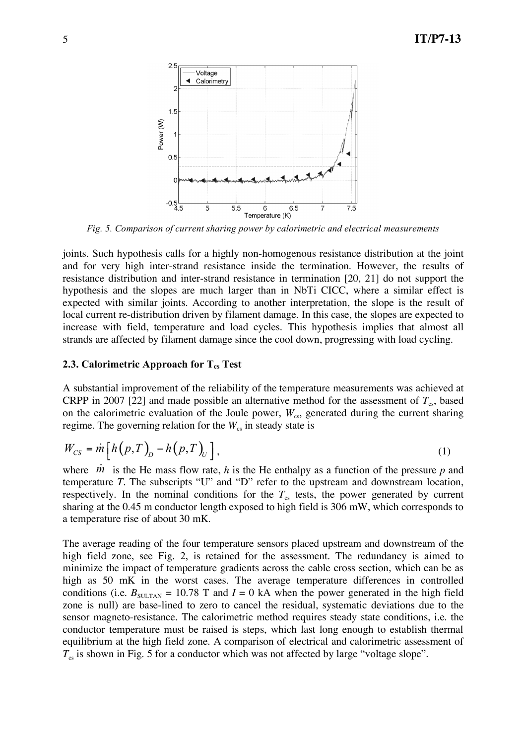

*Fig. 5. Comparison of current sharing power by calorimetric and electrical measurements*

joints. Such hypothesis calls for a highly non-homogenous resistance distribution at the joint and for very high inter-strand resistance inside the termination. However, the results of resistance distribution and inter-strand resistance in termination [20, 21] do not support the hypothesis and the slopes are much larger than in NbTi CICC, where a similar effect is expected with similar joints. According to another interpretation, the slope is the result of local current re-distribution driven by filament damage. In this case, the slopes are expected to increase with field, temperature and load cycles. This hypothesis implies that almost all strands are affected by filament damage since the cool down, progressing with load cycling.

#### **2.3.** Calorimetric Approach for  $T_{cs}$  Test

A substantial improvement of the reliability of the temperature measurements was achieved at CRPP in 2007 [22] and made possible an alternative method for the assessment of  $T_{cs}$ , based on the calorimetric evaluation of the Joule power,  $W_{cs}$ , generated during the current sharing regime. The governing relation for the  $W_{\rm cs}$  in steady state is

$$
W_{CS} = m \left[ h \left( p, T \right)_{D} - h \left( p, T \right)_{U} \right], \tag{1}
$$

where  $\dot{m}$  is the He mass flow rate, *h* is the He enthalpy as a function of the pressure *p* and temperature *T*. The subscripts "U" and "D" refer to the upstream and downstream location, respectively. In the nominal conditions for the  $T<sub>cs</sub>$  tests, the power generated by current sharing at the 0.45 m conductor length exposed to high field is 306 mW, which corresponds to a temperature rise of about 30 mK.

The average reading of the four temperature sensors placed upstream and downstream of the high field zone, see Fig. 2, is retained for the assessment. The redundancy is aimed to minimize the impact of temperature gradients across the cable cross section, which can be as high as 50 mK in the worst cases. The average temperature differences in controlled conditions (i.e.  $B_{\text{SULTAN}} = 10.78$  T and  $I = 0$  kA when the power generated in the high field zone is null) are base-lined to zero to cancel the residual, systematic deviations due to the sensor magneto-resistance. The calorimetric method requires steady state conditions, i.e. the conductor temperature must be raised is steps, which last long enough to establish thermal equilibrium at the high field zone. A comparison of electrical and calorimetric assessment of  $T<sub>cs</sub>$  is shown in Fig. 5 for a conductor which was not affected by large "voltage slope".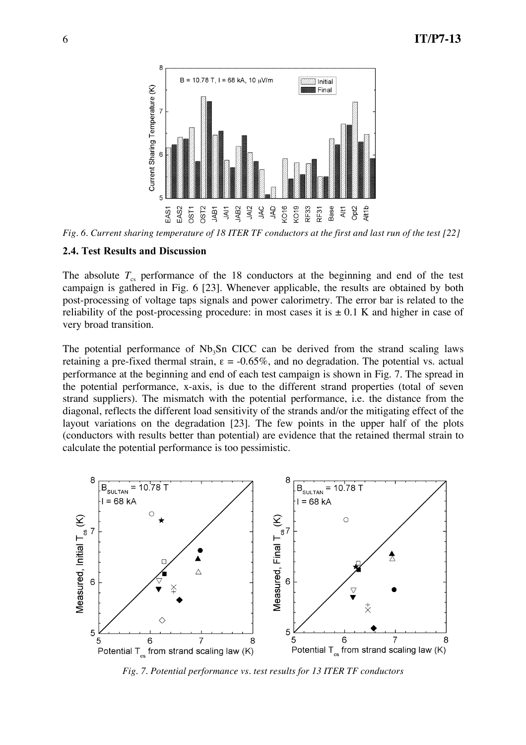

*Fig. 6. Current sharing temperature of 18 ITER TF conductors at the first and last run of the test [22]*

#### **2.4. Test Results and Discussion**

The absolute  $T_{cs}$  performance of the 18 conductors at the beginning and end of the test campaign is gathered in Fig. 6 [23]. Whenever applicable, the results are obtained by both post-processing of voltage taps signals and power calorimetry. The error bar is related to the reliability of the post-processing procedure: in most cases it is  $\pm$  0.1 K and higher in case of very broad transition.

The potential performance of  $Nb<sub>3</sub>Sn$  CICC can be derived from the strand scaling laws retaining a pre-fixed thermal strain,  $\varepsilon = -0.65\%$ , and no degradation. The potential vs. actual performance at the beginning and end of each test campaign is shown in Fig. 7. The spread in the potential performance, x-axis, is due to the different strand properties (total of seven strand suppliers). The mismatch with the potential performance, i.e. the distance from the diagonal, reflects the different load sensitivity of the strands and/or the mitigating effect of the layout variations on the degradation [23]. The few points in the upper half of the plots (conductors with results better than potential) are evidence that the retained thermal strain to calculate the potential performance is too pessimistic.



*Fig. 7. Potential performance vs. test results for 13 ITER TF conductors*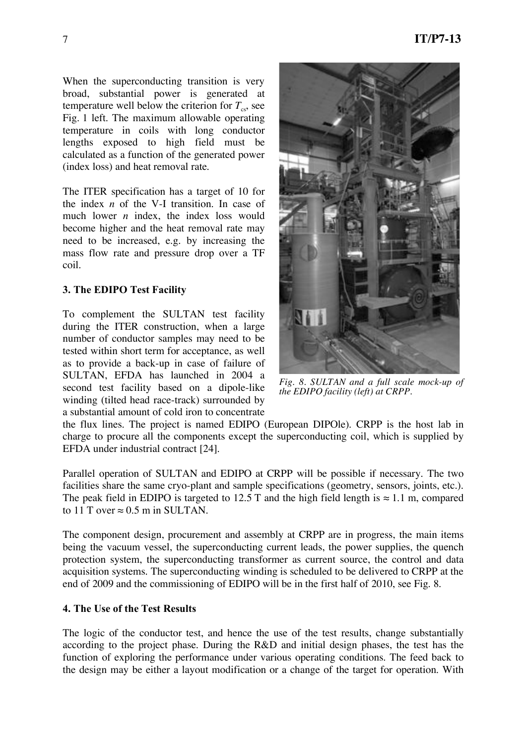When the superconducting transition is very broad, substantial power is generated at temperature well below the criterion for  $T_{cs}$ , see Fig. 1 left. The maximum allowable operating temperature in coils with long conductor lengths exposed to high field must be calculated as a function of the generated power (index loss) and heat removal rate.

The ITER specification has a target of 10 for the index *n* of the V-I transition. In case of much lower *n* index, the index loss would become higher and the heat removal rate may need to be increased, e.g. by increasing the mass flow rate and pressure drop over a TF coil.

# **3. The EDIPO Test Facility**

To complement the SULTAN test facility during the ITER construction, when a large number of conductor samples may need to be tested within short term for acceptance, as well as to provide a back-up in case of failure of SULTAN, EFDA has launched in 2004 a second test facility based on a dipole-like winding (tilted head race-track) surrounded by a substantial amount of cold iron to concentrate



*Fig. 8. SULTAN and a full scale mock-up of the EDIPO facility (left) at CRPP.*

the flux lines. The project is named EDIPO (European DIPOle). CRPP is the host lab in charge to procure all the components except the superconducting coil, which is supplied by EFDA under industrial contract [24].

Parallel operation of SULTAN and EDIPO at CRPP will be possible if necessary. The two facilities share the same cryo-plant and sample specifications (geometry, sensors, joints, etc.). The peak field in EDIPO is targeted to 12.5 T and the high field length is  $\approx 1.1$  m, compared to 11 T over  $\approx$  0.5 m in SULTAN.

The component design, procurement and assembly at CRPP are in progress, the main items being the vacuum vessel, the superconducting current leads, the power supplies, the quench protection system, the superconducting transformer as current source, the control and data acquisition systems. The superconducting winding is scheduled to be delivered to CRPP at the end of 2009 and the commissioning of EDIPO will be in the first half of 2010, see Fig. 8.

#### **4. The Use of the Test Results**

The logic of the conductor test, and hence the use of the test results, change substantially according to the project phase. During the R&D and initial design phases, the test has the function of exploring the performance under various operating conditions. The feed back to the design may be either a layout modification or a change of the target for operation. With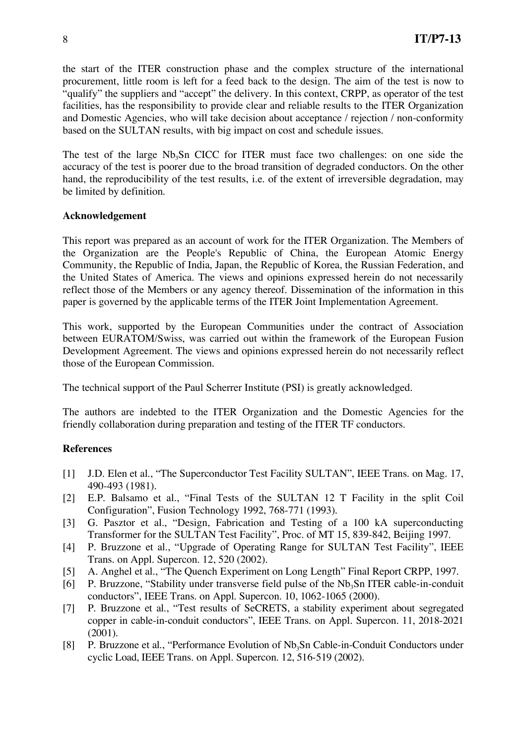the start of the ITER construction phase and the complex structure of the international procurement, little room is left for a feed back to the design. The aim of the test is now to "qualify" the suppliers and "accept" the delivery. In this context, CRPP, as operator of the test facilities, has the responsibility to provide clear and reliable results to the ITER Organization and Domestic Agencies, who will take decision about acceptance / rejection / non-conformity based on the SULTAN results, with big impact on cost and schedule issues.

The test of the large  $Nb<sub>3</sub>Sn$  CICC for ITER must face two challenges: on one side the accuracy of the test is poorer due to the broad transition of degraded conductors. On the other hand, the reproducibility of the test results, i.e. of the extent of irreversible degradation, may be limited by definition.

# **Acknowledgement**

This report was prepared as an account of work for the ITER Organization. The Members of the Organization are the People's Republic of China, the European Atomic Energy Community, the Republic of India, Japan, the Republic of Korea, the Russian Federation, and the United States of America. The views and opinions expressed herein do not necessarily reflect those of the Members or any agency thereof. Dissemination of the information in this paper is governed by the applicable terms of the ITER Joint Implementation Agreement.

This work, supported by the European Communities under the contract of Association between EURATOM/Swiss, was carried out within the framework of the European Fusion Development Agreement. The views and opinions expressed herein do not necessarily reflect those of the European Commission.

The technical support of the Paul Scherrer Institute (PSI) is greatly acknowledged.

The authors are indebted to the ITER Organization and the Domestic Agencies for the friendly collaboration during preparation and testing of the ITER TF conductors.

# **References**

- [1] J.D. Elen et al., "The Superconductor Test Facility SULTAN", IEEE Trans. on Mag. 17, 490-493 (1981).
- [2] E.P. Balsamo et al., "Final Tests of the SULTAN 12 T Facility in the split Coil Configuration", Fusion Technology 1992, 768-771 (1993).
- [3] G. Pasztor et al., "Design, Fabrication and Testing of a 100 kA superconducting Transformer for the SULTAN Test Facility", Proc. of MT 15, 839-842, Beijing 1997.
- [4] P. Bruzzone et al., "Upgrade of Operating Range for SULTAN Test Facility", IEEE Trans. on Appl. Supercon. 12, 520 (2002).
- [5] A. Anghel et al., "The Quench Experiment on Long Length" Final Report CRPP, 1997.
- [6] P. Bruzzone, "Stability under transverse field pulse of the  $Nb<sub>3</sub>Sn$  ITER cable-in-conduit conductors", IEEE Trans. on Appl. Supercon. 10, 1062-1065 (2000).
- [7] P. Bruzzone et al., "Test results of SeCRETS, a stability experiment about segregated copper in cable-in-conduit conductors", IEEE Trans. on Appl. Supercon. 11, 2018-2021 (2001).
- [8] P. Bruzzone et al., "Performance Evolution of Nb<sub>3</sub>Sn Cable-in-Conduit Conductors under cyclic Load, IEEE Trans. on Appl. Supercon. 12, 516-519 (2002).